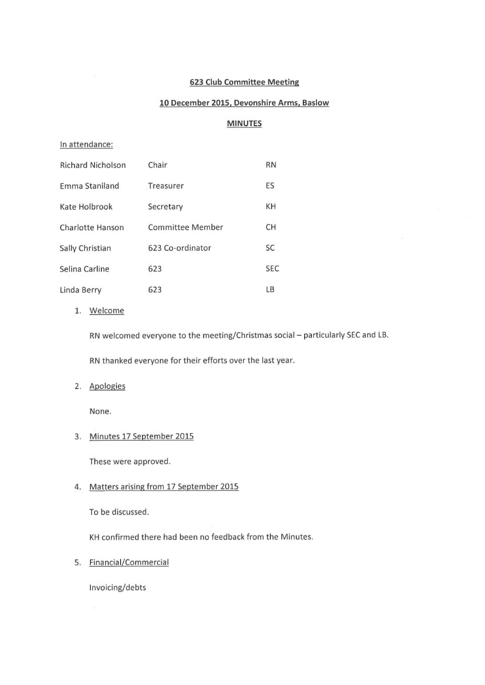#### 623 Club Committee Meeting

### 10 December 2015, Devonshire Arms, Baslow

### MINUTES

#### In attendance:

| <b>Richard Nicholson</b> | Chair            | <b>RN</b>  |
|--------------------------|------------------|------------|
| <b>Emma Staniland</b>    | Treasurer        | ES         |
| Kate Holbrook            | Secretary        | KH         |
| Charlotte Hanson         | Committee Member | <b>CH</b>  |
| Sally Christian          | 623 Co-ordinator | SC         |
| Selina Carline           | 623              | <b>SEC</b> |
| Linda Berry              | 623              | LB         |

1. Welcome

RN welcomed everyone to the meeting/Christmas social - particularly SEC and LB.

RN thanked everyone for their efforts over the last year.

2. Apologies

None.

#### 3. Minutes 17 September 2015

These were approved.

#### 4. Matters arising from 17 September 2015

To be discussed.

KH confirmed there had been no feedback from the Minutes.

5. Financial/Commercial

Invoicing/debts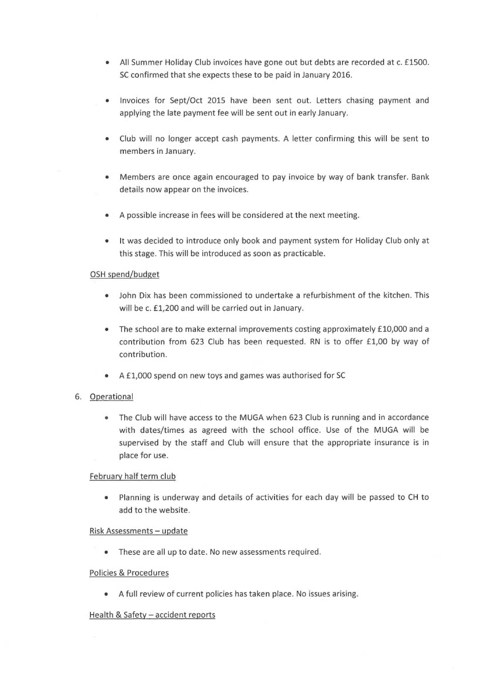- All Summer Holiday Club invoices have gone out but debts are recorded at c. £1500. SC confirmed that she expects these to be paid in January 2016.
- Invoices for Sept/Oct 2015 have been sent out. Letters chasing payment and applying the late payment fee will be sent out in early January.
- Club will no longer accept cash payments. A letter confirming this will be sent to members in January.
- Members are once again encouraged to pay invoice by way of bank transfer. Bank details now appear on the invoices.
- A possible increase in fees will be considered at the next meeting.
- It was decided to introduce only book and payment system for Holiday Club only at this stage. This will be introduced as soon as practicable.

### OSH spend/budget

- John Dix has been commissioned to undertake a refurbishment of the kitchen. This will be c. £1,200 and will be carried out in January.
- The school are to make external improvements costing approximately £10,000 and a contribution from 623 Club has been requested. RN is to offer £1,00 by way of contribution.
- A £1,000 spend on new toys and games was authorised for SC

# 6. Operational

• The Club will have access to the MUGA when 623 Club is running and in accordance with dates/times as agreed with the school office. Use of the MUGA will be supervised by the staff and Club will ensure that the appropriate insurance is in place for use.

### February half term club

• Planning is underway and details of activities for each day will be passed to CH to add to the website.

### Risk Assessments - update

• These are all up to date. No new assessments required.

### Policies & Procedures

• A full review of current policies has taken place. No issues arising.

### Health & Safety - accident reports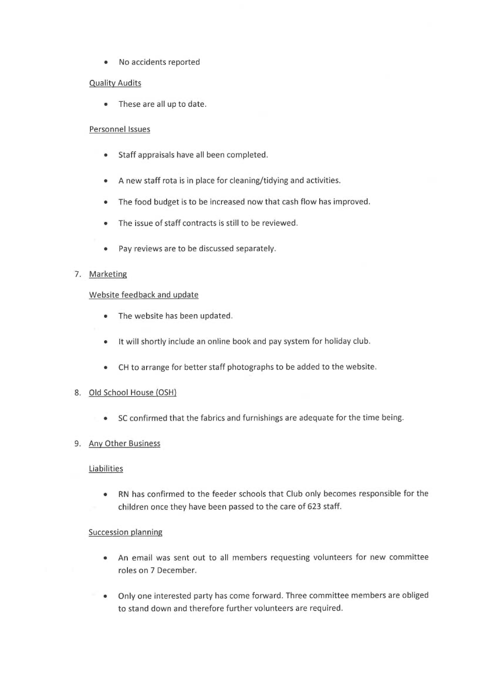• No accidents reported

# Quality Audits

• These are all up to date.

### Personnel Issues

- Staff appraisals have all been completed.
- Anew staff rota is in place for cleaning/tidying and activities.
- The food budget is to be increased now that cash flow has improved.
- The issue of staff contracts is still to be reviewed.
- Pay reviews are to be discussed separately.

# 7. Marketing

# Website feedback and update

- The website has been updated.
- It will shortly include an online book and pay system for holiday club.
- CH to arrange for better staff photographs to be added to the website.

# 8. Old School House (OSH)

• SC confirmed that the fabrics and furnishings are adequate for the time being.

# 9. Anv Other Business

### Liabilities

• RN has confirmed to the feeder schools that Club only becomes responsible for the children once they have been passed to the care of 623 staff.

### Succession planning

- An email was sent out to all members requesting volunteers for new committee roles on 7 December.
- Only one interested party has come forward. Three committee members are obliged to stand down and therefore further volunteers are required.